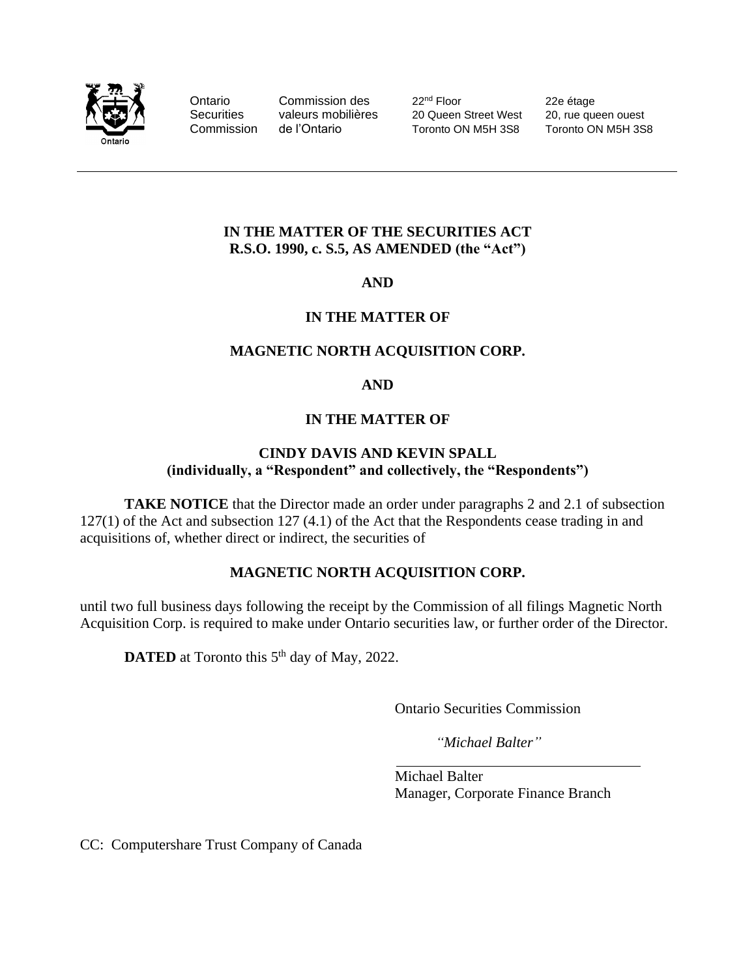

Ontario Commission des 22<sup>nd</sup> Floor 22e étage Securities valeurs mobilières 20 Queen Street West 20, rue queen ouest<br>Commission de l'Ontario Toronto ON M5H 3S8 Toronto ON M5H 3S8 Commission de l'Ontario Toronto ON M5H 3S8

# **IN THE MATTER OF THE SECURITIES ACT R.S.O. 1990, c. S.5, AS AMENDED (the "Act")**

# **AND**

# **IN THE MATTER OF**

# **MAGNETIC NORTH ACQUISITION CORP.**

### **AND**

# **IN THE MATTER OF**

# **CINDY DAVIS AND KEVIN SPALL (individually, a "Respondent" and collectively, the "Respondents")**

**TAKE NOTICE** that the Director made an order under paragraphs 2 and 2.1 of subsection 127(1) of the Act and subsection 127 (4.1) of the Act that the Respondents cease trading in and acquisitions of, whether direct or indirect, the securities of

### **MAGNETIC NORTH ACQUISITION CORP.**

until two full business days following the receipt by the Commission of all filings Magnetic North Acquisition Corp. is required to make under Ontario securities law, or further order of the Director.

**DATED** at Toronto this 5<sup>th</sup> day of May, 2022.

Ontario Securities Commission

*"Michael Balter"*

Michael Balter Manager, Corporate Finance Branch

CC: Computershare Trust Company of Canada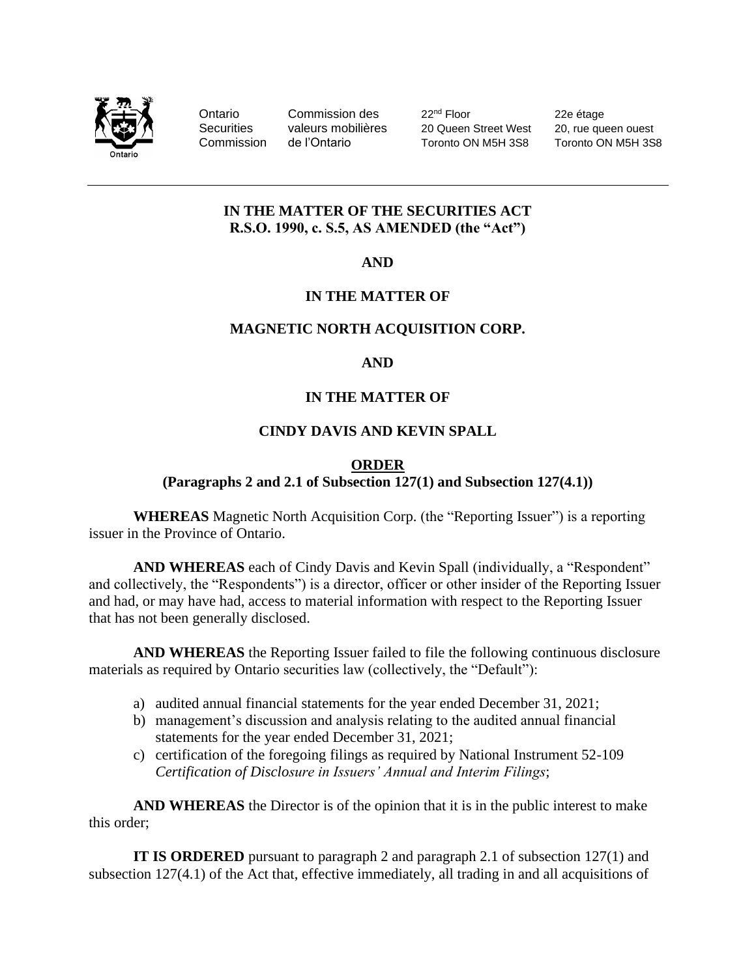

Ontario Commission des 22<sup>nd</sup> Floor 22e étage Securities valeurs mobilières 20 Queen Street West 20, rue queen ouest Commission de l'Ontario Toronto ON M5H 3S8 Toronto ON M5H 3S8

# **IN THE MATTER OF THE SECURITIES ACT R.S.O. 1990, c. S.5, AS AMENDED (the "Act")**

**AND**

# **IN THE MATTER OF**

# **MAGNETIC NORTH ACQUISITION CORP.**

# **AND**

# **IN THE MATTER OF**

# **CINDY DAVIS AND KEVIN SPALL**

### **ORDER**

### **(Paragraphs 2 and 2.1 of Subsection 127(1) and Subsection 127(4.1))**

**WHEREAS** Magnetic North Acquisition Corp. (the "Reporting Issuer") is a reporting issuer in the Province of Ontario.

**AND WHEREAS** each of Cindy Davis and Kevin Spall (individually, a "Respondent" and collectively, the "Respondents") is a director, officer or other insider of the Reporting Issuer and had, or may have had, access to material information with respect to the Reporting Issuer that has not been generally disclosed.

**AND WHEREAS** the Reporting Issuer failed to file the following continuous disclosure materials as required by Ontario securities law (collectively, the "Default"):

- a) audited annual financial statements for the year ended December 31, 2021;
- b) management's discussion and analysis relating to the audited annual financial statements for the year ended December 31, 2021;
- c) certification of the foregoing filings as required by National Instrument 52-109 *Certification of Disclosure in Issuers' Annual and Interim Filings*;

**AND WHEREAS** the Director is of the opinion that it is in the public interest to make this order;

**IT IS ORDERED** pursuant to paragraph 2 and paragraph 2.1 of subsection 127(1) and subsection 127(4.1) of the Act that, effective immediately, all trading in and all acquisitions of